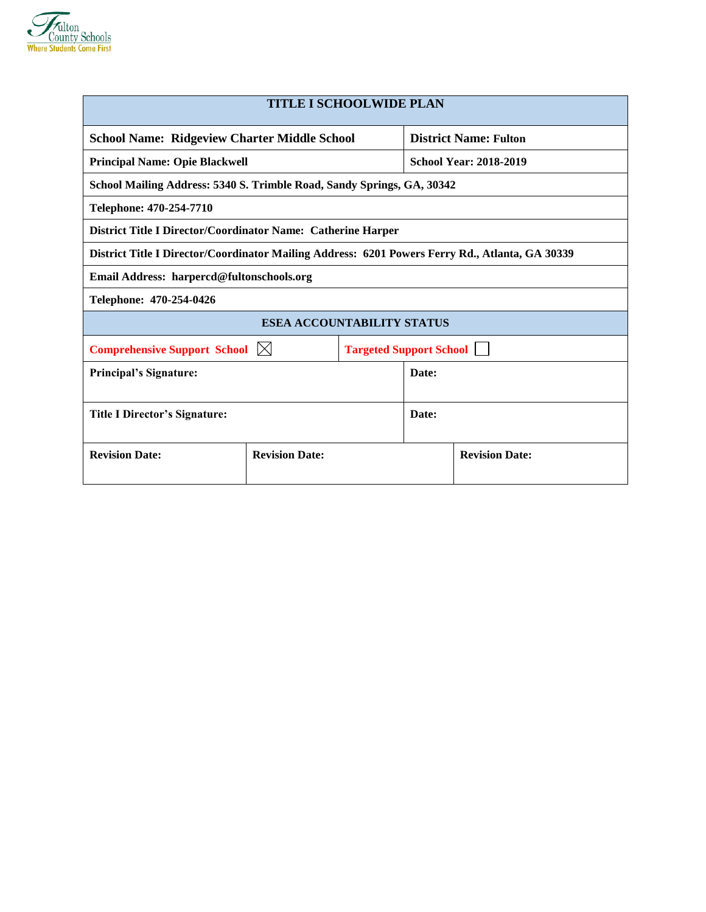

| <b>TITLE I SCHOOLWIDE PLAN</b>                                                                  |                                                                        |  |                               |  |  |  |
|-------------------------------------------------------------------------------------------------|------------------------------------------------------------------------|--|-------------------------------|--|--|--|
| <b>School Name: Ridgeview Charter Middle School</b>                                             |                                                                        |  | <b>District Name: Fulton</b>  |  |  |  |
| <b>Principal Name: Opie Blackwell</b>                                                           |                                                                        |  | <b>School Year: 2018-2019</b> |  |  |  |
|                                                                                                 | School Mailing Address: 5340 S. Trimble Road, Sandy Springs, GA, 30342 |  |                               |  |  |  |
| Telephone: 470-254-7710                                                                         |                                                                        |  |                               |  |  |  |
| District Title I Director/Coordinator Name: Catherine Harper                                    |                                                                        |  |                               |  |  |  |
| District Title I Director/Coordinator Mailing Address: 6201 Powers Ferry Rd., Atlanta, GA 30339 |                                                                        |  |                               |  |  |  |
| Email Address: harpercd@fultonschools.org                                                       |                                                                        |  |                               |  |  |  |
| Telephone: 470-254-0426                                                                         |                                                                        |  |                               |  |  |  |
|                                                                                                 | <b>ESEA ACCOUNTABILITY STATUS</b>                                      |  |                               |  |  |  |
| <b>Comprehensive Support School</b> $\boxtimes$<br><b>Targeted Support School</b>               |                                                                        |  |                               |  |  |  |
| <b>Principal's Signature:</b>                                                                   |                                                                        |  | Date:                         |  |  |  |
|                                                                                                 |                                                                        |  |                               |  |  |  |
| Title I Director's Signature:                                                                   |                                                                        |  | Date:                         |  |  |  |
|                                                                                                 |                                                                        |  |                               |  |  |  |
| <b>Revision Date:</b><br><b>Revision Date:</b>                                                  |                                                                        |  | <b>Revision Date:</b>         |  |  |  |
|                                                                                                 |                                                                        |  |                               |  |  |  |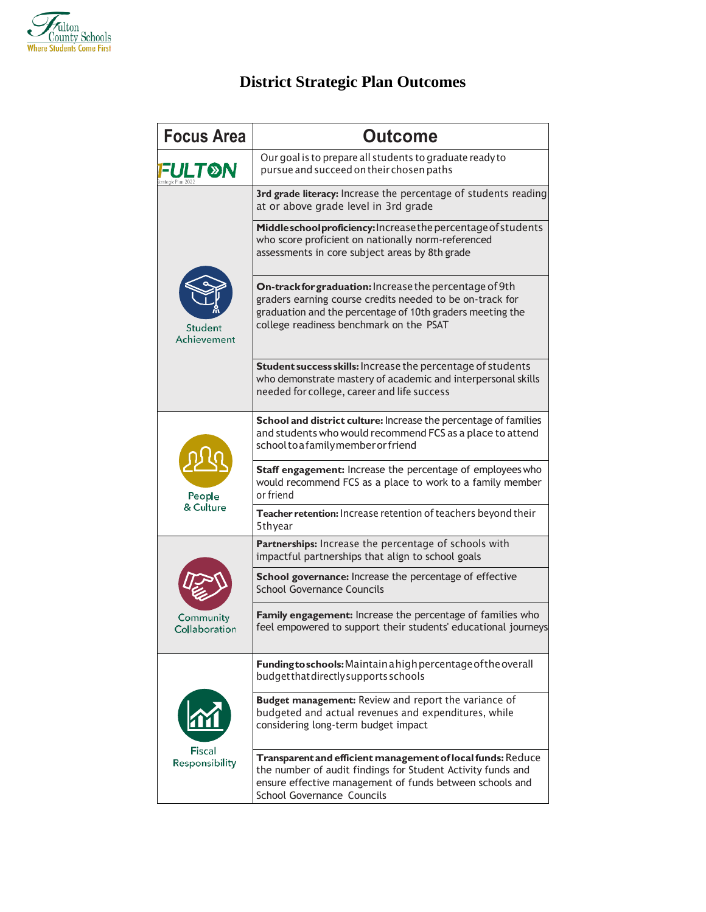

# **District Strategic Plan Outcomes**

| <b>Focus Area</b>          | <b>Outcome</b>                                                                                                                                                                                                              |  |  |  |  |  |
|----------------------------|-----------------------------------------------------------------------------------------------------------------------------------------------------------------------------------------------------------------------------|--|--|--|--|--|
| FULT®N                     | Our goal is to prepare all students to graduate ready to<br>pursue and succeed on their chosen paths                                                                                                                        |  |  |  |  |  |
|                            | 3rd grade literacy: Increase the percentage of students reading<br>at or above grade level in 3rd grade                                                                                                                     |  |  |  |  |  |
|                            | Middleschoolproficiency: Increase the percentage of students<br>who score proficient on nationally norm-referenced<br>assessments in core subject areas by 8th grade                                                        |  |  |  |  |  |
| Student<br>Achievement     | On-track for graduation: Increase the percentage of 9th<br>graders earning course credits needed to be on-track for<br>graduation and the percentage of 10th graders meeting the<br>college readiness benchmark on the PSAT |  |  |  |  |  |
|                            | Student success skills: Increase the percentage of students<br>who demonstrate mastery of academic and interpersonal skills<br>needed for college, career and life success                                                  |  |  |  |  |  |
|                            | School and district culture: Increase the percentage of families<br>and students who would recommend FCS as a place to attend<br>school to a family member or friend                                                        |  |  |  |  |  |
| People                     | Staff engagement: Increase the percentage of employees who<br>would recommend FCS as a place to work to a family member<br>or friend                                                                                        |  |  |  |  |  |
| & Culture                  | Teacher retention: Increase retention of teachers beyond their<br>5thyear                                                                                                                                                   |  |  |  |  |  |
|                            | Partnerships: Increase the percentage of schools with<br>impactful partnerships that align to school goals                                                                                                                  |  |  |  |  |  |
|                            | School governance: Increase the percentage of effective<br><b>School Governance Councils</b>                                                                                                                                |  |  |  |  |  |
| Community<br>Collaboration | Family engagement: Increase the percentage of families who<br>feel empowered to support their students' educational journeys                                                                                                |  |  |  |  |  |
|                            | Funding to schools: Maintain a high percentage of the overall<br>budget that directly supports schools                                                                                                                      |  |  |  |  |  |
|                            | Budget management: Review and report the variance of<br>budgeted and actual revenues and expenditures, while<br>considering long-term budget impact                                                                         |  |  |  |  |  |
| Fiscal<br>Responsibility   | Transparent and efficient management of local funds: Reduce<br>the number of audit findings for Student Activity funds and<br>ensure effective management of funds between schools and<br>School Governance Councils        |  |  |  |  |  |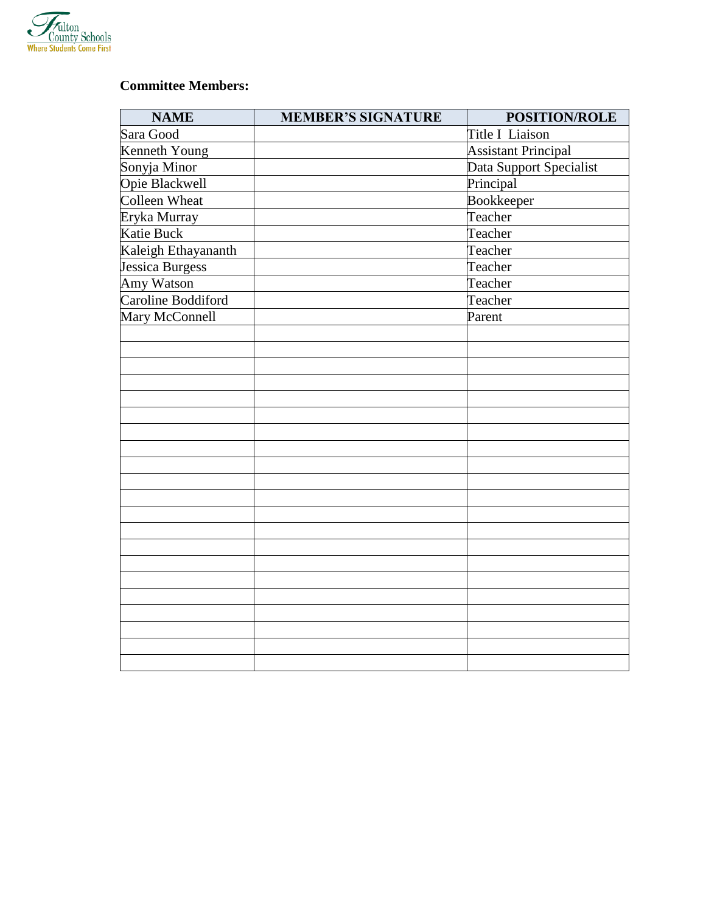

## **Committee Members:**

| <b>NAME</b>            | <b>MEMBER'S SIGNATURE</b> | POSITION/ROLE              |  |
|------------------------|---------------------------|----------------------------|--|
| Sara Good              |                           | Title I Liaison            |  |
| Kenneth Young          |                           | <b>Assistant Principal</b> |  |
| Sonyja Minor           |                           | Data Support Specialist    |  |
| Opie Blackwell         |                           | Principal                  |  |
| Colleen Wheat          |                           | Bookkeeper                 |  |
| Eryka Murray           |                           | Teacher                    |  |
| <b>Katie Buck</b>      |                           | Teacher                    |  |
| Kaleigh Ethayananth    |                           | Teacher                    |  |
| <b>Jessica Burgess</b> |                           | Teacher                    |  |
| Amy Watson             |                           | Teacher                    |  |
| Caroline Boddiford     |                           | Teacher                    |  |
| Mary McConnell         |                           | Parent                     |  |
|                        |                           |                            |  |
|                        |                           |                            |  |
|                        |                           |                            |  |
|                        |                           |                            |  |
|                        |                           |                            |  |
|                        |                           |                            |  |
|                        |                           |                            |  |
|                        |                           |                            |  |
|                        |                           |                            |  |
|                        |                           |                            |  |
|                        |                           |                            |  |
|                        |                           |                            |  |
|                        |                           |                            |  |
|                        |                           |                            |  |
|                        |                           |                            |  |
|                        |                           |                            |  |
|                        |                           |                            |  |
|                        |                           |                            |  |
|                        |                           |                            |  |
|                        |                           |                            |  |
|                        |                           |                            |  |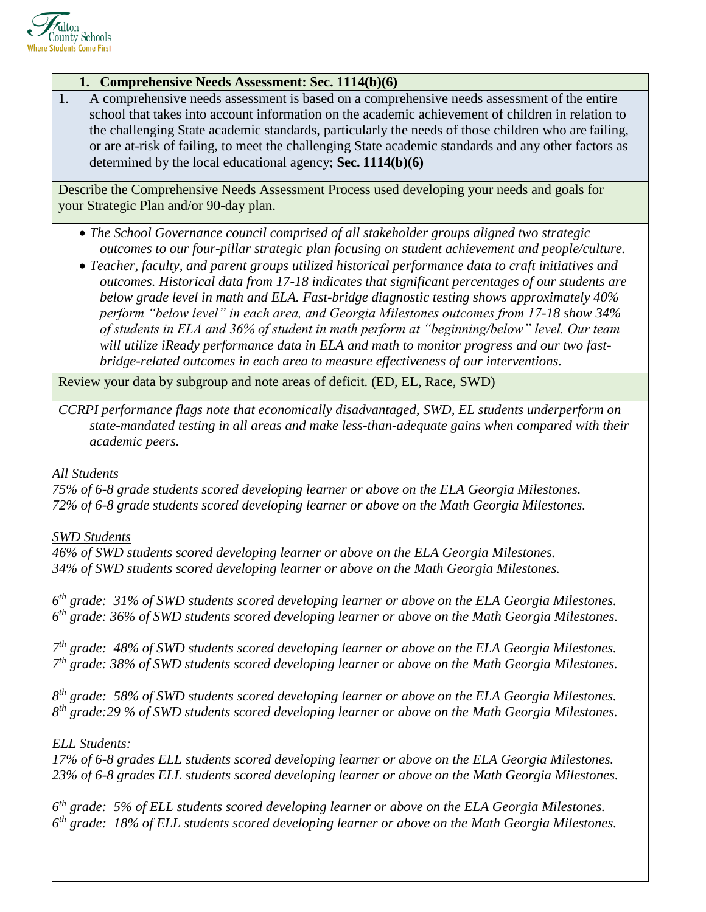

#### **1. Comprehensive Needs Assessment: Sec. 1114(b)(6)**

1. A comprehensive needs assessment is based on a comprehensive needs assessment of the entire school that takes into account information on the academic achievement of children in relation to the challenging State academic standards, particularly the needs of those children who are failing, or are at-risk of failing, to meet the challenging State academic standards and any other factors as determined by the local educational agency; **Sec. 1114(b)(6)**

Describe the Comprehensive Needs Assessment Process used developing your needs and goals for your Strategic Plan and/or 90-day plan.

- *The School Governance council comprised of all stakeholder groups aligned two strategic outcomes to our four-pillar strategic plan focusing on student achievement and people/culture.*
- *Teacher, faculty, and parent groups utilized historical performance data to craft initiatives and outcomes. Historical data from 17-18 indicates that significant percentages of our students are below grade level in math and ELA. Fast-bridge diagnostic testing shows approximately 40% perform "below level" in each area, and Georgia Milestones outcomes from 17-18 show 34% of students in ELA and 36% of student in math perform at "beginning/below" level. Our team will utilize iReady performance data in ELA and math to monitor progress and our two fastbridge-related outcomes in each area to measure effectiveness of our interventions.*

Review your data by subgroup and note areas of deficit. (ED, EL, Race, SWD)

*CCRPI performance flags note that economically disadvantaged, SWD, EL students underperform on state-mandated testing in all areas and make less-than-adequate gains when compared with their academic peers.*

#### *All Students*

*75% of 6-8 grade students scored developing learner or above on the ELA Georgia Milestones. 72% of 6-8 grade students scored developing learner or above on the Math Georgia Milestones.*

#### *SWD Students*

*46% of SWD students scored developing learner or above on the ELA Georgia Milestones. 34% of SWD students scored developing learner or above on the Math Georgia Milestones.*

*6 th grade: 31% of SWD students scored developing learner or above on the ELA Georgia Milestones. 6 th grade: 36% of SWD students scored developing learner or above on the Math Georgia Milestones.*

*7 th grade: 48% of SWD students scored developing learner or above on the ELA Georgia Milestones. 7 th grade: 38% of SWD students scored developing learner or above on the Math Georgia Milestones.*

*8 th grade: 58% of SWD students scored developing learner or above on the ELA Georgia Milestones. 8 th grade:29 % of SWD students scored developing learner or above on the Math Georgia Milestones.*

### *ELL Students:*

*17% of 6-8 grades ELL students scored developing learner or above on the ELA Georgia Milestones. 23% of 6-8 grades ELL students scored developing learner or above on the Math Georgia Milestones.*

*6 th grade: 5% of ELL students scored developing learner or above on the ELA Georgia Milestones. 6 th grade: 18% of ELL students scored developing learner or above on the Math Georgia Milestones.*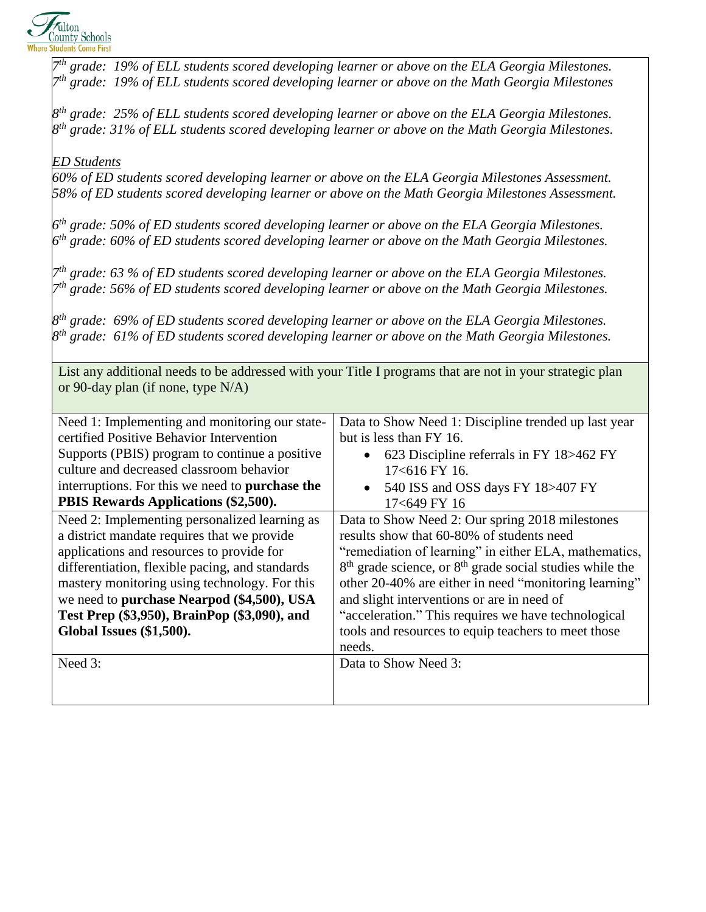

*7 th grade: 19% of ELL students scored developing learner or above on the ELA Georgia Milestones. 7 th grade: 19% of ELL students scored developing learner or above on the Math Georgia Milestones 8 th grade: 25% of ELL students scored developing learner or above on the ELA Georgia Milestones. 8 th grade: 31% of ELL students scored developing learner or above on the Math Georgia Milestones. ED Students 60% of ED students scored developing learner or above on the ELA Georgia Milestones Assessment. 58% of ED students scored developing learner or above on the Math Georgia Milestones Assessment. 6 th grade: 50% of ED students scored developing learner or above on the ELA Georgia Milestones. 6 th grade: 60% of ED students scored developing learner or above on the Math Georgia Milestones. 7 th grade: 63 % of ED students scored developing learner or above on the ELA Georgia Milestones. 7 th grade: 56% of ED students scored developing learner or above on the Math Georgia Milestones. 8 th grade: 69% of ED students scored developing learner or above on the ELA Georgia Milestones. 8 th grade: 61% of ED students scored developing learner or above on the Math Georgia Milestones.* List any additional needs to be addressed with your Title I programs that are not in your strategic plan or 90-day plan (if none, type N/A) Need 1: Implementing and monitoring our statecertified Positive Behavior Intervention Supports (PBIS) program to continue a positive culture and decreased classroom behavior interruptions. For this we need to **purchase the PBIS Rewards Applications (\$2,500).** Data to Show Need 1: Discipline trended up last year but is less than FY 16. • 623 Discipline referrals in FY 18>462 FY 17<616 FY 16. • 540 ISS and OSS days FY 18>407 FY 17<649 FY 16 Need 2: Implementing personalized learning as a district mandate requires that we provide applications and resources to provide for differentiation, flexible pacing, and standards mastery monitoring using technology. For this we need to **purchase Nearpod (\$4,500), USA Test Prep (\$3,950), BrainPop (\$3,090), and Global Issues (\$1,500).** Data to Show Need 2: Our spring 2018 milestones results show that 60-80% of students need "remediation of learning" in either ELA, mathematics, 8<sup>th</sup> grade science, or 8<sup>th</sup> grade social studies while the other 20-40% are either in need "monitoring learning" and slight interventions or are in need of "acceleration." This requires we have technological tools and resources to equip teachers to meet those needs. Need 3: Data to Show Need 3: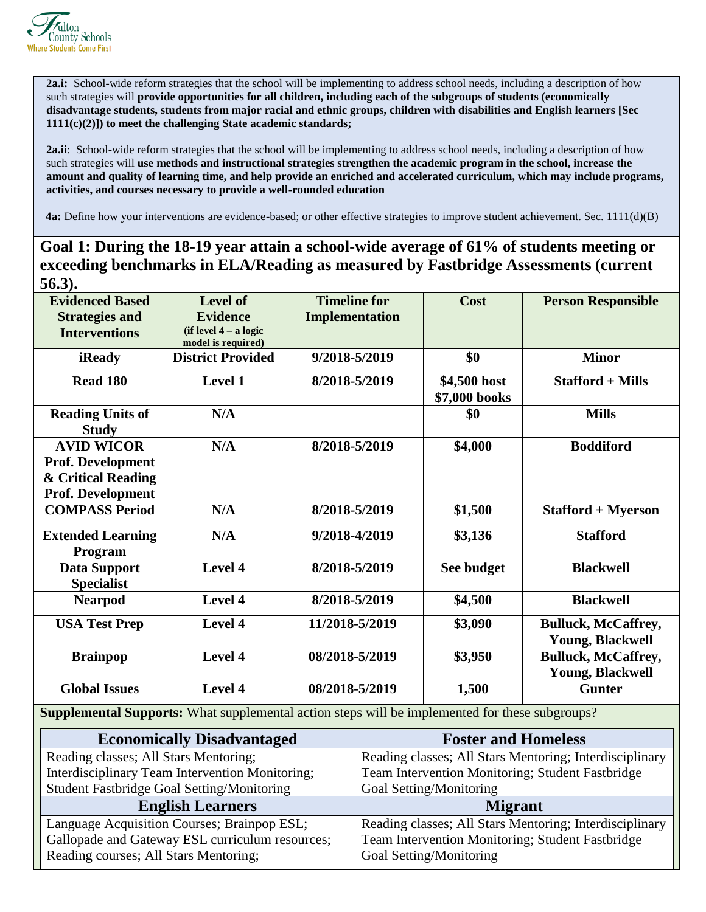

**2a.i:** School-wide reform strategies that the school will be implementing to address school needs, including a description of how such strategies will **provide opportunities for all children, including each of the subgroups of students (economically disadvantage students, students from major racial and ethnic groups, children with disabilities and English learners [Sec 1111(c)(2)]) to meet the challenging State academic standards;**

**2a.ii**: School-wide reform strategies that the school will be implementing to address school needs, including a description of how such strategies will **use methods and instructional strategies strengthen the academic program in the school, increase the amount and quality of learning time, and help provide an enriched and accelerated curriculum, which may include programs, activities, and courses necessary to provide a well-rounded education**

 **4a:** Define how your interventions are evidence-based; or other effective strategies to improve student achievement. Sec. 1111(d)(B)

## **Goal 1: During the 18-19 year attain a school-wide average of 61% of students meeting or exceeding benchmarks in ELA/Reading as measured by Fastbridge Assessments (current 56.3).**

| <b>Evidenced Based</b>   | <b>Level of</b>          | <b>Timeline for</b>                                                                                   | Cost          | <b>Person Responsible</b>  |
|--------------------------|--------------------------|-------------------------------------------------------------------------------------------------------|---------------|----------------------------|
| <b>Strategies and</b>    | <b>Evidence</b>          | <b>Implementation</b>                                                                                 |               |                            |
| <b>Interventions</b>     | $(if level 4 - a logic$  |                                                                                                       |               |                            |
|                          | model is required)       |                                                                                                       |               |                            |
| iReady                   | <b>District Provided</b> | 9/2018-5/2019                                                                                         | \$0           | <b>Minor</b>               |
| <b>Read 180</b>          | Level 1                  | 8/2018-5/2019                                                                                         | \$4,500 host  | <b>Stafford + Mills</b>    |
|                          |                          |                                                                                                       | \$7,000 books |                            |
| <b>Reading Units of</b>  | N/A                      |                                                                                                       | \$0           | <b>Mills</b>               |
| <b>Study</b>             |                          |                                                                                                       |               |                            |
| <b>AVID WICOR</b>        | N/A                      | 8/2018-5/2019                                                                                         | \$4,000       | <b>Boddiford</b>           |
| Prof. Development        |                          |                                                                                                       |               |                            |
| & Critical Reading       |                          |                                                                                                       |               |                            |
| <b>Prof. Development</b> |                          |                                                                                                       |               |                            |
| <b>COMPASS Period</b>    | N/A                      | 8/2018-5/2019                                                                                         | \$1,500       | <b>Stafford + Myerson</b>  |
| <b>Extended Learning</b> | N/A                      | 9/2018-4/2019                                                                                         | \$3,136       | <b>Stafford</b>            |
| Program                  |                          |                                                                                                       |               |                            |
| <b>Data Support</b>      | Level 4                  | 8/2018-5/2019                                                                                         | See budget    | <b>Blackwell</b>           |
| <b>Specialist</b>        |                          |                                                                                                       |               |                            |
| <b>Nearpod</b>           | Level 4                  | 8/2018-5/2019                                                                                         | \$4,500       | <b>Blackwell</b>           |
| <b>USA Test Prep</b>     | Level 4                  | 11/2018-5/2019                                                                                        | \$3,090       | <b>Bulluck, McCaffrey,</b> |
|                          |                          |                                                                                                       |               | <b>Young, Blackwell</b>    |
| <b>Brainpop</b>          | Level 4                  | 08/2018-5/2019                                                                                        | \$3,950       | <b>Bulluck, McCaffrey,</b> |
|                          |                          |                                                                                                       |               | <b>Young, Blackwell</b>    |
| <b>Global Issues</b>     | Level 4                  | 08/2018-5/2019                                                                                        | 1,500         | <b>Gunter</b>              |
|                          |                          | <b>Supplemental Supports:</b> What supplemental action steps will be implemented for these subgroups? |               |                            |

| <b>Economically Disadvantaged</b>               | <b>Foster and Homeless</b>                              |
|-------------------------------------------------|---------------------------------------------------------|
| Reading classes; All Stars Mentoring;           | Reading classes; All Stars Mentoring; Interdisciplinary |
| Interdisciplinary Team Intervention Monitoring; | Team Intervention Monitoring; Student Fastbridge        |
| Student Fastbridge Goal Setting/Monitoring      | Goal Setting/Monitoring                                 |
| <b>English Learners</b>                         | <b>Migrant</b>                                          |
| Language Acquisition Courses; Brainpop ESL;     | Reading classes; All Stars Mentoring; Interdisciplinary |
| Gallopade and Gateway ESL curriculum resources; | Team Intervention Monitoring; Student Fastbridge        |
| Reading courses; All Stars Mentoring;           | Goal Setting/Monitoring                                 |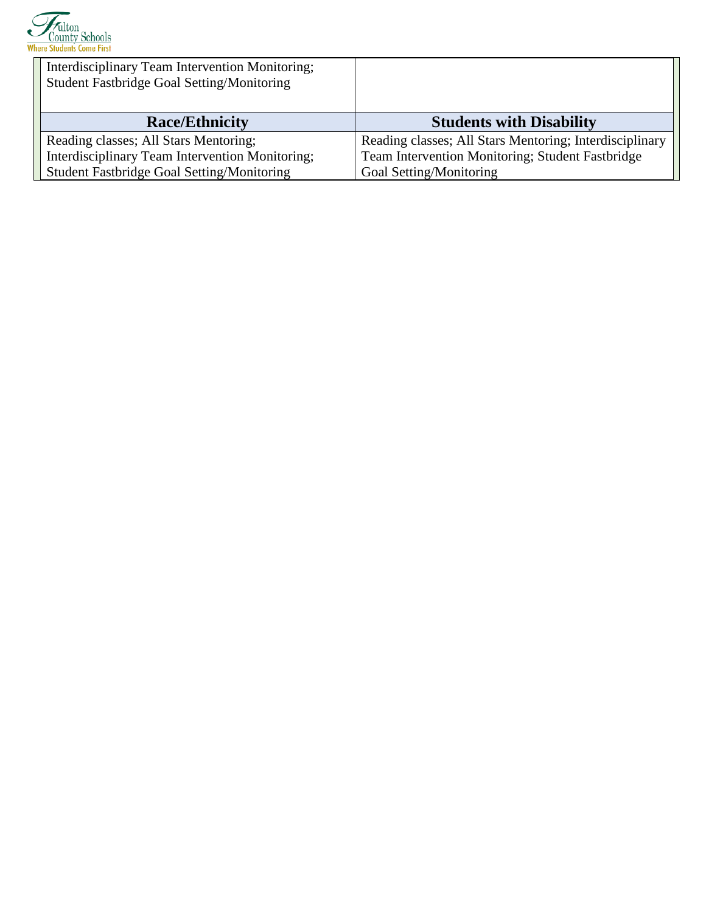

| Interdisciplinary Team Intervention Monitoring;<br><b>Student Fastbridge Goal Setting/Monitoring</b> |                                                         |
|------------------------------------------------------------------------------------------------------|---------------------------------------------------------|
| <b>Race/Ethnicity</b>                                                                                | <b>Students with Disability</b>                         |
|                                                                                                      |                                                         |
| Reading classes; All Stars Mentoring;                                                                | Reading classes; All Stars Mentoring; Interdisciplinary |
| Interdisciplinary Team Intervention Monitoring;                                                      | Team Intervention Monitoring; Student Fastbridge        |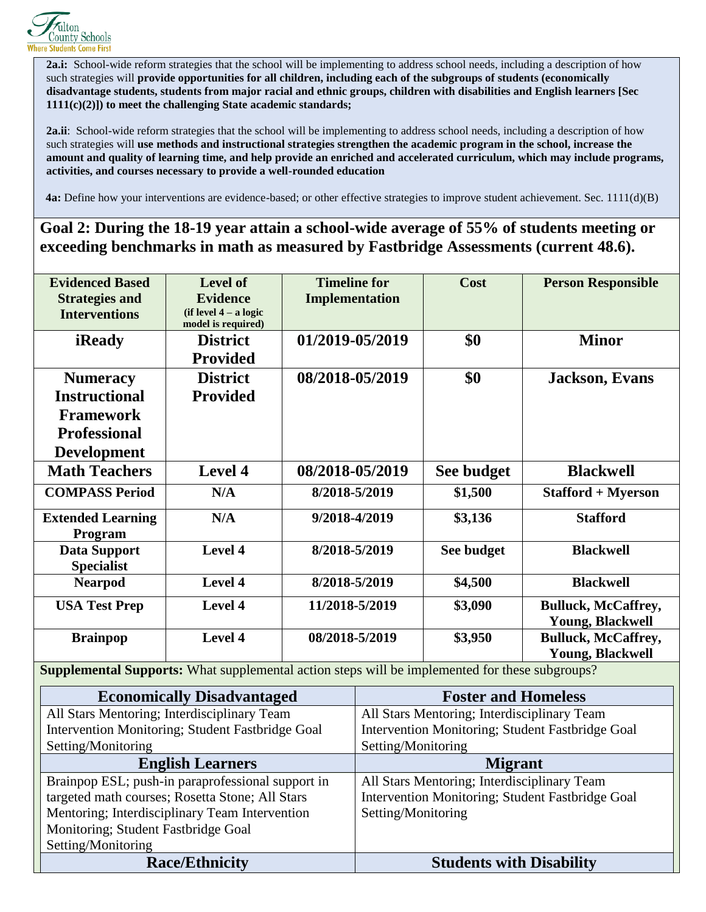

**2a.i:** School-wide reform strategies that the school will be implementing to address school needs, including a description of how such strategies will **provide opportunities for all children, including each of the subgroups of students (economically disadvantage students, students from major racial and ethnic groups, children with disabilities and English learners [Sec 1111(c)(2)]) to meet the challenging State academic standards;**

**2a.ii**: School-wide reform strategies that the school will be implementing to address school needs, including a description of how such strategies will **use methods and instructional strategies strengthen the academic program in the school, increase the amount and quality of learning time, and help provide an enriched and accelerated curriculum, which may include programs, activities, and courses necessary to provide a well-rounded education**

 **4a:** Define how your interventions are evidence-based; or other effective strategies to improve student achievement. Sec. 1111(d)(B)

**Goal 2: During the 18-19 year attain a school-wide average of 55% of students meeting or exceeding benchmarks in math as measured by Fastbridge Assessments (current 48.6).**

| <b>Evidenced Based</b>                                                                                | <b>Level of</b>         | <b>Timeline for</b> |                                                  | Cost       | <b>Person Responsible</b>  |
|-------------------------------------------------------------------------------------------------------|-------------------------|---------------------|--------------------------------------------------|------------|----------------------------|
| <b>Strategies and</b>                                                                                 | <b>Evidence</b>         | Implementation      |                                                  |            |                            |
| <b>Interventions</b>                                                                                  | $(if level 4 - a logic$ |                     |                                                  |            |                            |
|                                                                                                       | model is required)      |                     |                                                  |            |                            |
| iReady                                                                                                | <b>District</b>         | 01/2019-05/2019     |                                                  | \$0        | <b>Minor</b>               |
|                                                                                                       | <b>Provided</b>         |                     |                                                  |            |                            |
| <b>Numeracy</b>                                                                                       | <b>District</b>         | 08/2018-05/2019     |                                                  | \$0        | <b>Jackson</b> , Evans     |
| <b>Instructional</b>                                                                                  | <b>Provided</b>         |                     |                                                  |            |                            |
| <b>Framework</b>                                                                                      |                         |                     |                                                  |            |                            |
| <b>Professional</b>                                                                                   |                         |                     |                                                  |            |                            |
| <b>Development</b>                                                                                    |                         |                     |                                                  |            |                            |
| <b>Math Teachers</b>                                                                                  | Level 4                 | 08/2018-05/2019     |                                                  | See budget | <b>Blackwell</b>           |
| <b>COMPASS Period</b>                                                                                 | N/A                     | 8/2018-5/2019       |                                                  | \$1,500    | <b>Stafford + Myerson</b>  |
| <b>Extended Learning</b>                                                                              | N/A                     | 9/2018-4/2019       |                                                  | \$3,136    | <b>Stafford</b>            |
| Program                                                                                               |                         |                     |                                                  |            |                            |
| Data Support<br><b>Specialist</b>                                                                     | Level 4                 | 8/2018-5/2019       |                                                  | See budget | <b>Blackwell</b>           |
| <b>Nearpod</b>                                                                                        | Level 4                 | 8/2018-5/2019       |                                                  | \$4,500    | <b>Blackwell</b>           |
| <b>USA Test Prep</b>                                                                                  | Level 4                 | 11/2018-5/2019      |                                                  | \$3,090    | <b>Bulluck, McCaffrey,</b> |
|                                                                                                       |                         |                     |                                                  |            | <b>Young, Blackwell</b>    |
| <b>Brainpop</b>                                                                                       | Level 4                 | 08/2018-5/2019      |                                                  | \$3,950    | <b>Bulluck, McCaffrey,</b> |
|                                                                                                       |                         |                     |                                                  |            | <b>Young, Blackwell</b>    |
| <b>Supplemental Supports:</b> What supplemental action steps will be implemented for these subgroups? |                         |                     |                                                  |            |                            |
| <b>Economically Disadvantaged</b>                                                                     |                         |                     | <b>Foster and Homeless</b>                       |            |                            |
| All Stars Mentoring; Interdisciplinary Team                                                           |                         |                     | All Stars Mentoring; Interdisciplinary Team      |            |                            |
| Intervention Monitoring: Student Easthridge Goal                                                      |                         |                     | Intervention Monitoring: Student Easthridge Goal |            |                            |

| mich vehindli ividinidring, student i asionidge Obar | mich vehicle monitoring, student i astoriage Goal |
|------------------------------------------------------|---------------------------------------------------|
| Setting/Monitoring                                   | Setting/Monitoring                                |
| <b>English Learners</b>                              | <b>Migrant</b>                                    |
| Brainpop ESL; push-in paraprofessional support in    | All Stars Mentoring; Interdisciplinary Team       |
| targeted math courses; Rosetta Stone; All Stars      | Intervention Monitoring; Student Fastbridge Goal  |
| Mentoring; Interdisciplinary Team Intervention       | Setting/Monitoring                                |
| Monitoring; Student Fastbridge Goal                  |                                                   |
| Setting/Monitoring                                   |                                                   |
| <b>Race/Ethnicity</b>                                | <b>Students with Disability</b>                   |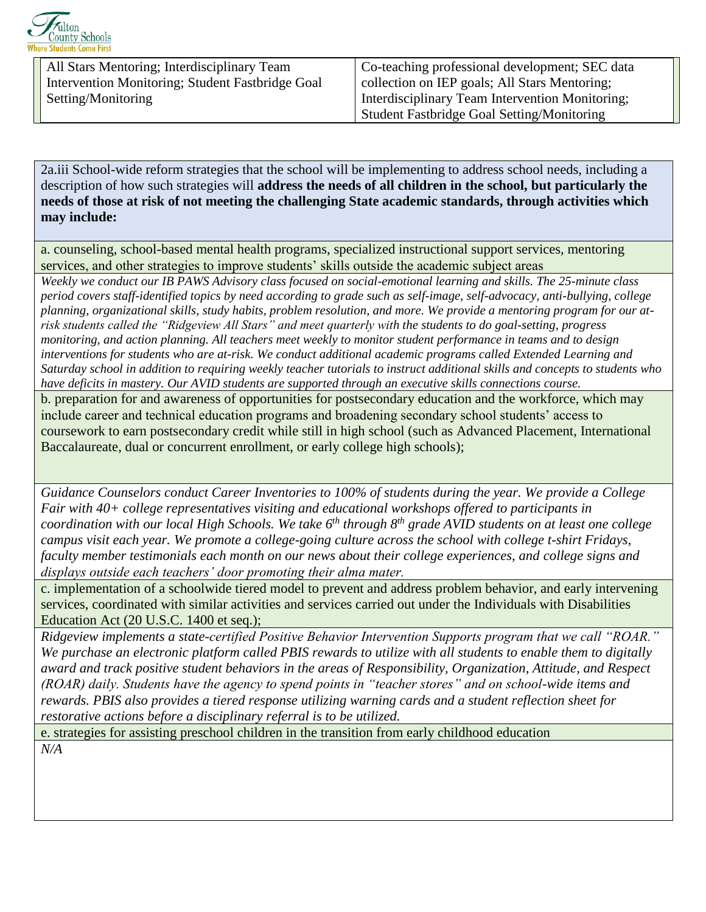

All Stars Mentoring; Interdisciplinary Team Intervention Monitoring; Student Fastbridge Goal Setting/Monitoring

Co-teaching professional development; SEC data collection on IEP goals; All Stars Mentoring; Interdisciplinary Team Intervention Monitoring; Student Fastbridge Goal Setting/Monitoring

2a.iii School-wide reform strategies that the school will be implementing to address school needs, including a description of how such strategies will **address the needs of all children in the school, but particularly the needs of those at risk of not meeting the challenging State academic standards, through activities which may include:**

a. counseling, school-based mental health programs, specialized instructional support services, mentoring services, and other strategies to improve students' skills outside the academic subject areas

*Weekly we conduct our IB PAWS Advisory class focused on social-emotional learning and skills. The 25-minute class period covers staff-identified topics by need according to grade such as self-image, self-advocacy, anti-bullying, college planning, organizational skills, study habits, problem resolution, and more. We provide a mentoring program for our atrisk students called the "Ridgeview All Stars" and meet quarterly with the students to do goal-setting, progress monitoring, and action planning. All teachers meet weekly to monitor student performance in teams and to design interventions for students who are at-risk. We conduct additional academic programs called Extended Learning and Saturday school in addition to requiring weekly teacher tutorials to instruct additional skills and concepts to students who have deficits in mastery. Our AVID students are supported through an executive skills connections course.*

b. preparation for and awareness of opportunities for postsecondary education and the workforce, which may include career and technical education programs and broadening secondary school students' access to coursework to earn postsecondary credit while still in high school (such as Advanced Placement, International Baccalaureate, dual or concurrent enrollment, or early college high schools);

*Guidance Counselors conduct Career Inventories to 100% of students during the year. We provide a College Fair with 40+ college representatives visiting and educational workshops offered to participants in coordination with our local High Schools. We take 6th through 8th grade AVID students on at least one college campus visit each year. We promote a college-going culture across the school with college t-shirt Fridays, faculty member testimonials each month on our news about their college experiences, and college signs and displays outside each teachers' door promoting their alma mater.* 

c. implementation of a schoolwide tiered model to prevent and address problem behavior, and early intervening services, coordinated with similar activities and services carried out under the Individuals with Disabilities Education Act (20 U.S.C. 1400 et seq.);

*Ridgeview implements a state-certified Positive Behavior Intervention Supports program that we call "ROAR." We purchase an electronic platform called PBIS rewards to utilize with all students to enable them to digitally award and track positive student behaviors in the areas of Responsibility, Organization, Attitude, and Respect (ROAR) daily. Students have the agency to spend points in "teacher stores" and on school-wide items and rewards. PBIS also provides a tiered response utilizing warning cards and a student reflection sheet for restorative actions before a disciplinary referral is to be utilized.*

e. strategies for assisting preschool children in the transition from early childhood education *N/A*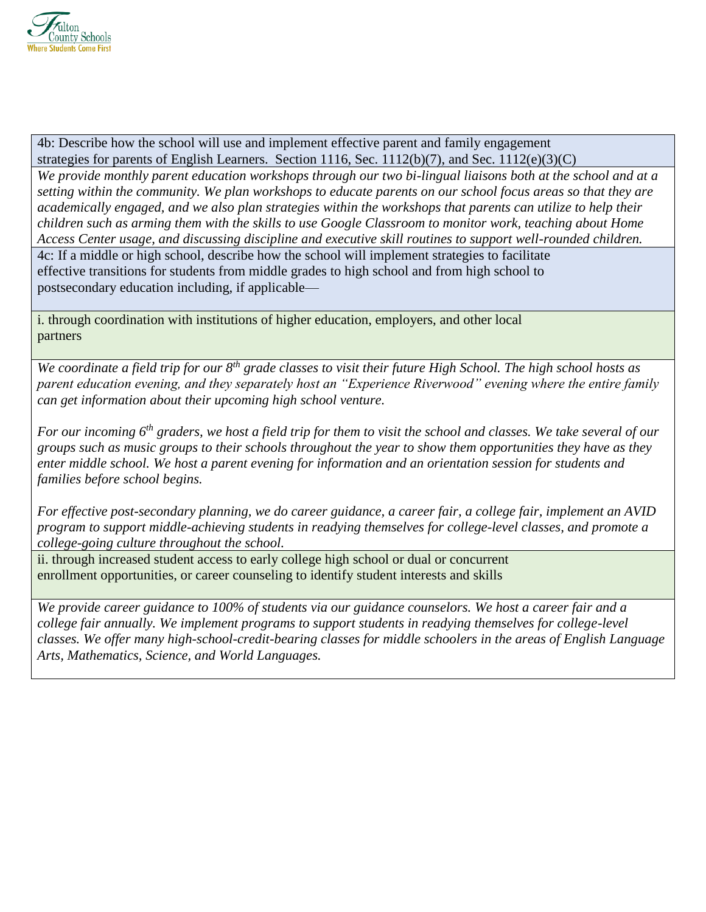

4b: Describe how the school will use and implement effective parent and family engagement strategies for parents of English Learners. Section 1116, Sec. 1112(b)(7), and Sec. 1112(e)(3)(C)

*We provide monthly parent education workshops through our two bi-lingual liaisons both at the school and at a setting within the community. We plan workshops to educate parents on our school focus areas so that they are academically engaged, and we also plan strategies within the workshops that parents can utilize to help their children such as arming them with the skills to use Google Classroom to monitor work, teaching about Home Access Center usage, and discussing discipline and executive skill routines to support well-rounded children.*

4c: If a middle or high school, describe how the school will implement strategies to facilitate effective transitions for students from middle grades to high school and from high school to postsecondary education including, if applicable—

i. through coordination with institutions of higher education, employers, and other local partners

*We coordinate a field trip for our 8th grade classes to visit their future High School. The high school hosts as parent education evening, and they separately host an "Experience Riverwood" evening where the entire family can get information about their upcoming high school venture.*

*For our incoming 6th graders, we host a field trip for them to visit the school and classes. We take several of our groups such as music groups to their schools throughout the year to show them opportunities they have as they enter middle school. We host a parent evening for information and an orientation session for students and families before school begins.*

*For effective post-secondary planning, we do career guidance, a career fair, a college fair, implement an AVID program to support middle-achieving students in readying themselves for college-level classes, and promote a college-going culture throughout the school.*

ii. through increased student access to early college high school or dual or concurrent enrollment opportunities, or career counseling to identify student interests and skills

*We provide career guidance to 100% of students via our guidance counselors. We host a career fair and a college fair annually. We implement programs to support students in readying themselves for college-level classes. We offer many high-school-credit-bearing classes for middle schoolers in the areas of English Language Arts, Mathematics, Science, and World Languages.*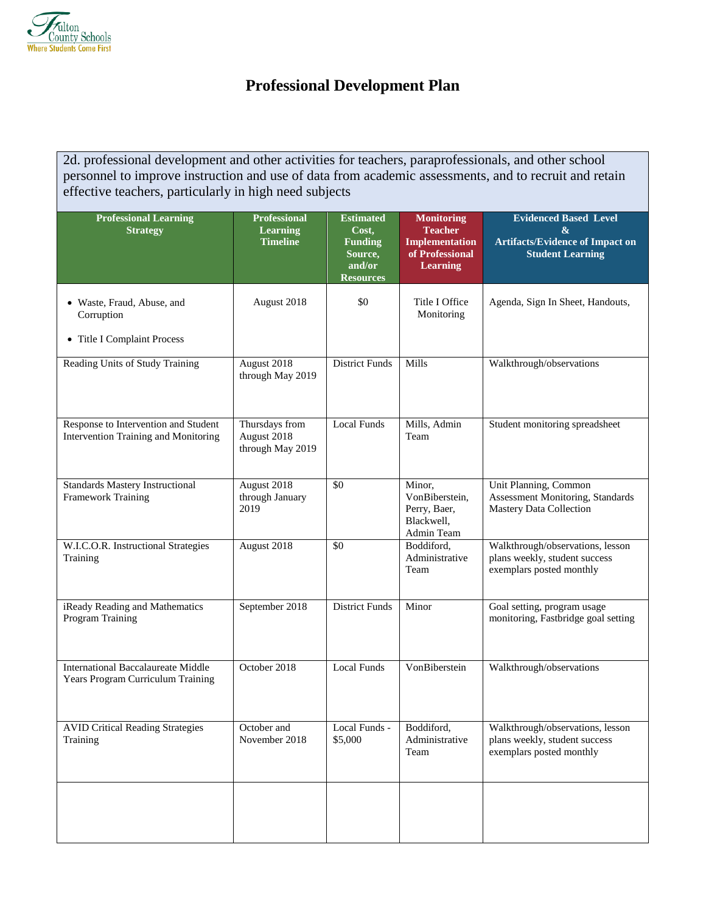

# **Professional Development Plan**

2d. professional development and other activities for teachers, paraprofessionals, and other school personnel to improve instruction and use of data from academic assessments, and to recruit and retain effective teachers, particularly in high need subjects

| <b>Professional Learning</b><br><b>Strategy</b>                                | <b>Professional</b><br><b>Learning</b><br><b>Timeline</b> | <b>Estimated</b><br>Cost,<br><b>Funding</b><br>Source,<br>and/or<br><b>Resources</b> | <b>Monitoring</b><br><b>Teacher</b><br><b>Implementation</b><br>of Professional<br><b>Learning</b> | <b>Evidenced Based Level</b><br>&<br><b>Artifacts/Evidence of Impact on</b><br><b>Student Learning</b> |
|--------------------------------------------------------------------------------|-----------------------------------------------------------|--------------------------------------------------------------------------------------|----------------------------------------------------------------------------------------------------|--------------------------------------------------------------------------------------------------------|
| • Waste, Fraud, Abuse, and<br>Corruption<br>• Title I Complaint Process        | August 2018                                               | \$0                                                                                  | Title I Office<br>Monitoring                                                                       | Agenda, Sign In Sheet, Handouts,                                                                       |
| Reading Units of Study Training                                                | August 2018<br>through May 2019                           | <b>District Funds</b>                                                                | Mills                                                                                              | Walkthrough/observations                                                                               |
| Response to Intervention and Student<br>Intervention Training and Monitoring   | Thursdays from<br>August 2018<br>through May 2019         | <b>Local Funds</b>                                                                   | Mills, Admin<br>Team                                                                               | Student monitoring spreadsheet                                                                         |
| <b>Standards Mastery Instructional</b><br><b>Framework Training</b>            | August 2018<br>through January<br>2019                    | \$0                                                                                  | Minor,<br>VonBiberstein,<br>Perry, Baer,<br>Blackwell,<br>Admin Team                               | Unit Planning, Common<br>Assessment Monitoring, Standards<br><b>Mastery Data Collection</b>            |
| W.I.C.O.R. Instructional Strategies<br>Training                                | August 2018                                               | \$0                                                                                  | Boddiford,<br>Administrative<br>Team                                                               | Walkthrough/observations, lesson<br>plans weekly, student success<br>exemplars posted monthly          |
| iReady Reading and Mathematics<br>Program Training                             | September 2018                                            | <b>District Funds</b>                                                                | Minor                                                                                              | Goal setting, program usage<br>monitoring, Fastbridge goal setting                                     |
| <b>International Baccalaureate Middle</b><br>Years Program Curriculum Training | October 2018                                              | <b>Local Funds</b>                                                                   | VonBiberstein                                                                                      | Walkthrough/observations                                                                               |
| <b>AVID Critical Reading Strategies</b><br>Training                            | October and<br>November 2018                              | Local Funds -<br>\$5,000                                                             | Boddiford,<br>Administrative<br>Team                                                               | Walkthrough/observations, lesson<br>plans weekly, student success<br>exemplars posted monthly          |
|                                                                                |                                                           |                                                                                      |                                                                                                    |                                                                                                        |